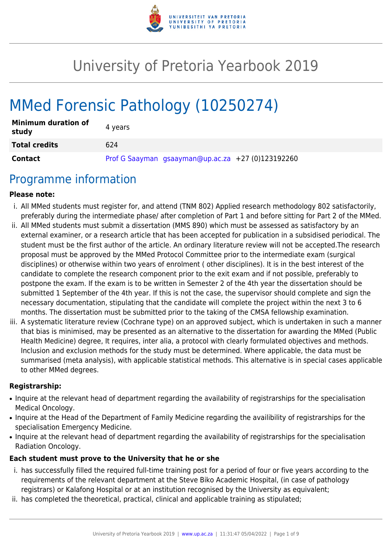

# University of Pretoria Yearbook 2019

# MMed Forensic Pathology (10250274)

| <b>Minimum duration of</b><br>study | 4 years |                                                   |  |
|-------------------------------------|---------|---------------------------------------------------|--|
| <b>Total credits</b>                | 624     |                                                   |  |
| Contact                             |         | Prof G Saayman gsaayman@up.ac.za +27 (0)123192260 |  |

## Programme information

#### **Please note:**

- i. All MMed students must register for, and attend (TNM 802) Applied research methodology 802 satisfactorily, preferably during the intermediate phase/ after completion of Part 1 and before sitting for Part 2 of the MMed.
- ii. All MMed students must submit a dissertation (MMS 890) which must be assessed as satisfactory by an external examiner, or a research article that has been accepted for publication in a subsidised periodical. The student must be the first author of the article. An ordinary literature review will not be accepted.The research proposal must be approved by the MMed Protocol Committee prior to the intermediate exam (surgical disciplines) or otherwise within two years of enrolment ( other disciplines). It is in the best interest of the candidate to complete the research component prior to the exit exam and if not possible, preferably to postpone the exam. If the exam is to be written in Semester 2 of the 4th year the dissertation should be submitted 1 September of the 4th year. If this is not the case, the supervisor should complete and sign the necessary documentation, stipulating that the candidate will complete the project within the next 3 to 6 months. The dissertation must be submitted prior to the taking of the CMSA fellowship examination.
- iii. A systematic literature review (Cochrane type) on an approved subject, which is undertaken in such a manner that bias is minimised, may be presented as an alternative to the dissertation for awarding the MMed (Public Health Medicine) degree, It requires, inter alia, a protocol with clearly formulated objectives and methods. Inclusion and exclusion methods for the study must be determined. Where applicable, the data must be summarised (meta analysis), with applicable statistical methods. This alternative is in special cases applicable to other MMed degrees.

#### **Registrarship:**

- Inquire at the relevant head of department regarding the availability of registrarships for the specialisation Medical Oncology.
- Inquire at the Head of the Department of Family Medicine regarding the availibility of registrarships for the specialisation Emergency Medicine.
- Inquire at the relevant head of department regarding the availability of registrarships for the specialisation Radiation Oncology.

#### **Each student must prove to the University that he or she**

- i. has successfully filled the required full-time training post for a period of four or five years according to the requirements of the relevant department at the Steve Biko Academic Hospital, (in case of pathology registrars) or Kalafong Hospital or at an institution recognised by the University as equivalent;
- ii. has completed the theoretical, practical, clinical and applicable training as stipulated;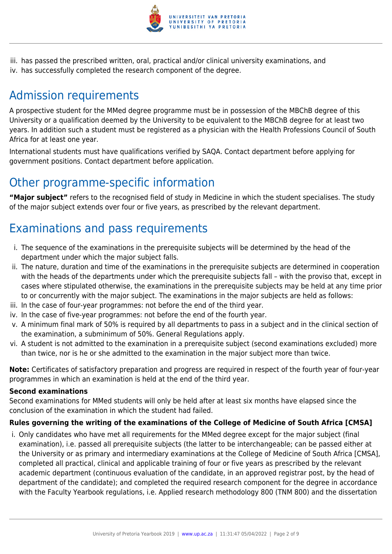

iii. has passed the prescribed written, oral, practical and/or clinical university examinations, and iv. has successfully completed the research component of the degree.

## Admission requirements

A prospective student for the MMed degree programme must be in possession of the MBChB degree of this University or a qualification deemed by the University to be equivalent to the MBChB degree for at least two years. In addition such a student must be registered as a physician with the Health Professions Council of South Africa for at least one year.

International students must have qualifications verified by SAQA. Contact department before applying for government positions. Contact department before application.

## Other programme-specific information

**"Major subject"** refers to the recognised field of study in Medicine in which the student specialises. The study of the major subject extends over four or five years, as prescribed by the relevant department.

## Examinations and pass requirements

- i. The sequence of the examinations in the prerequisite subjects will be determined by the head of the department under which the major subject falls.
- ii. The nature, duration and time of the examinations in the prerequisite subjects are determined in cooperation with the heads of the departments under which the prerequisite subjects fall – with the proviso that, except in cases where stipulated otherwise, the examinations in the prerequisite subjects may be held at any time prior to or concurrently with the major subject. The examinations in the major subjects are held as follows:
- iii. In the case of four-year programmes: not before the end of the third year.
- iv. In the case of five-year programmes: not before the end of the fourth year.
- v. A minimum final mark of 50% is required by all departments to pass in a subject and in the clinical section of the examination, a subminimum of 50%. General Regulations apply.
- vi. A student is not admitted to the examination in a prerequisite subject (second examinations excluded) more than twice, nor is he or she admitted to the examination in the major subject more than twice.

**Note:** Certificates of satisfactory preparation and progress are required in respect of the fourth year of four-year programmes in which an examination is held at the end of the third year.

#### **Second examinations**

Second examinations for MMed students will only be held after at least six months have elapsed since the conclusion of the examination in which the student had failed.

#### **Rules governing the writing of the examinations of the College of Medicine of South Africa [CMSA]**

i. Only candidates who have met all requirements for the MMed degree except for the major subject (final examination), i.e. passed all prerequisite subjects (the latter to be interchangeable; can be passed either at the University or as primary and intermediary examinations at the College of Medicine of South Africa [CMSA], completed all practical, clinical and applicable training of four or five years as prescribed by the relevant academic department (continuous evaluation of the candidate, in an approved registrar post, by the head of department of the candidate); and completed the required research component for the degree in accordance with the Faculty Yearbook regulations, i.e. Applied research methodology 800 (TNM 800) and the dissertation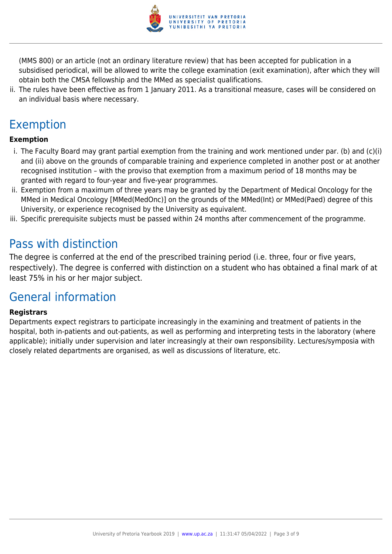

(MMS 800) or an article (not an ordinary literature review) that has been accepted for publication in a subsidised periodical, will be allowed to write the college examination (exit examination), after which they will obtain both the CMSA fellowship and the MMed as specialist qualifications.

ii. The rules have been effective as from 1 January 2011. As a transitional measure, cases will be considered on an individual basis where necessary.

## Exemption

#### **Exemption**

- i. The Faculty Board may grant partial exemption from the training and work mentioned under par. (b) and (c)(i) and (ii) above on the grounds of comparable training and experience completed in another post or at another recognised institution – with the proviso that exemption from a maximum period of 18 months may be granted with regard to four-year and five-year programmes.
- ii. Exemption from a maximum of three years may be granted by the Department of Medical Oncology for the MMed in Medical Oncology [MMed(MedOnc)] on the grounds of the MMed(Int) or MMed(Paed) degree of this University, or experience recognised by the University as equivalent.
- iii. Specific prerequisite subjects must be passed within 24 months after commencement of the programme.

## Pass with distinction

The degree is conferred at the end of the prescribed training period (i.e. three, four or five years, respectively). The degree is conferred with distinction on a student who has obtained a final mark of at least 75% in his or her major subject.

## General information

#### **Registrars**

Departments expect registrars to participate increasingly in the examining and treatment of patients in the hospital, both in-patients and out-patients, as well as performing and interpreting tests in the laboratory (where applicable); initially under supervision and later increasingly at their own responsibility. Lectures/symposia with closely related departments are organised, as well as discussions of literature, etc.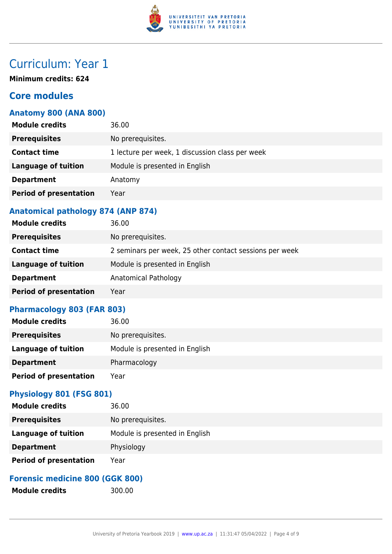

## Curriculum: Year 1

**Minimum credits: 624**

## **Core modules**

### **Anatomy 800 (ANA 800)**

| <b>Module credits</b>         | 36.00                                           |
|-------------------------------|-------------------------------------------------|
| <b>Prerequisites</b>          | No prerequisites.                               |
| <b>Contact time</b>           | 1 lecture per week, 1 discussion class per week |
| <b>Language of tuition</b>    | Module is presented in English                  |
| <b>Department</b>             | Anatomy                                         |
| <b>Period of presentation</b> | Year                                            |
|                               |                                                 |

### **Anatomical pathology 874 (ANP 874)**

| <b>Module credits</b>         | 36.00                                                   |
|-------------------------------|---------------------------------------------------------|
| <b>Prerequisites</b>          | No prerequisites.                                       |
| <b>Contact time</b>           | 2 seminars per week, 25 other contact sessions per week |
| <b>Language of tuition</b>    | Module is presented in English                          |
| <b>Department</b>             | Anatomical Pathology                                    |
| <b>Period of presentation</b> | Year                                                    |

### **Pharmacology 803 (FAR 803)**

| 36.00                          |
|--------------------------------|
| No prerequisites.              |
| Module is presented in English |
| Pharmacology                   |
| Year                           |
|                                |

## **Physiology 801 (FSG 801)**

| <b>Module credits</b>         | 36.00                          |
|-------------------------------|--------------------------------|
| <b>Prerequisites</b>          | No prerequisites.              |
| <b>Language of tuition</b>    | Module is presented in English |
| <b>Department</b>             | Physiology                     |
| <b>Period of presentation</b> | Year                           |

### **Forensic medicine 800 (GGK 800)**

Module credits 300.00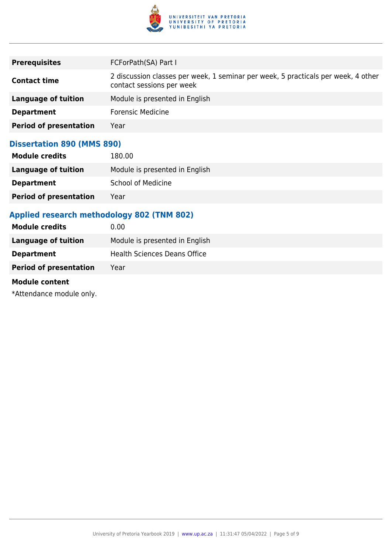

| <b>Prerequisites</b>          | FCForPath(SA) Part I                                                                                           |
|-------------------------------|----------------------------------------------------------------------------------------------------------------|
| <b>Contact time</b>           | 2 discussion classes per week, 1 seminar per week, 5 practicals per week, 4 other<br>contact sessions per week |
| Language of tuition           | Module is presented in English                                                                                 |
| <b>Department</b>             | <b>Forensic Medicine</b>                                                                                       |
| <b>Period of presentation</b> | Year                                                                                                           |

### **Dissertation 890 (MMS 890)**

| <b>Module credits</b>         | 180.00                         |
|-------------------------------|--------------------------------|
| Language of tuition           | Module is presented in English |
| <b>Department</b>             | <b>School of Medicine</b>      |
| <b>Period of presentation</b> | Year                           |

## **Applied research methodology 802 (TNM 802)**

| Module is presented in English      |
|-------------------------------------|
| <b>Health Sciences Deans Office</b> |
|                                     |
|                                     |

#### **Module content**

\*Attendance module only.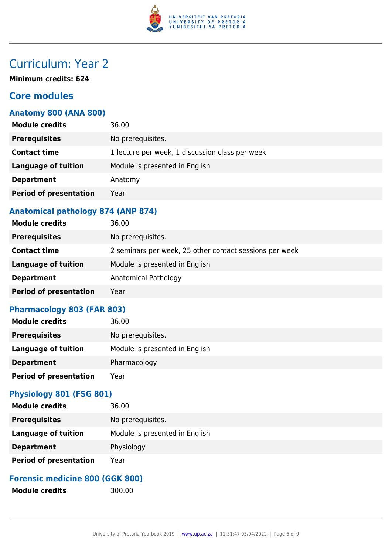

## Curriculum: Year 2

**Minimum credits: 624**

## **Core modules**

### **Anatomy 800 (ANA 800)**

| <b>Module credits</b>         | 36.00                                           |
|-------------------------------|-------------------------------------------------|
| <b>Prerequisites</b>          | No prerequisites.                               |
| <b>Contact time</b>           | 1 lecture per week, 1 discussion class per week |
| <b>Language of tuition</b>    | Module is presented in English                  |
| <b>Department</b>             | Anatomy                                         |
| <b>Period of presentation</b> | Year                                            |
|                               |                                                 |

### **Anatomical pathology 874 (ANP 874)**

| <b>Module credits</b>         | 36.00                                                   |
|-------------------------------|---------------------------------------------------------|
| <b>Prerequisites</b>          | No prerequisites.                                       |
| <b>Contact time</b>           | 2 seminars per week, 25 other contact sessions per week |
| Language of tuition           | Module is presented in English                          |
| <b>Department</b>             | Anatomical Pathology                                    |
| <b>Period of presentation</b> | Year                                                    |

### **Pharmacology 803 (FAR 803)**

| 36.00                          |
|--------------------------------|
| No prerequisites.              |
| Module is presented in English |
| Pharmacology                   |
| Year                           |
|                                |

## **Physiology 801 (FSG 801)**

| <b>Module credits</b>         | 36.00                          |
|-------------------------------|--------------------------------|
| <b>Prerequisites</b>          | No prerequisites.              |
| Language of tuition           | Module is presented in English |
| <b>Department</b>             | Physiology                     |
| <b>Period of presentation</b> | Year                           |

### **Forensic medicine 800 (GGK 800)**

Module credits 300.00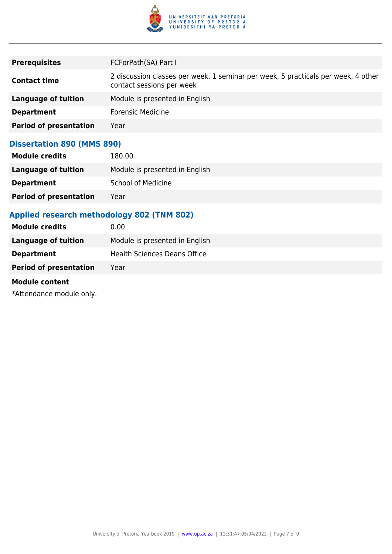

| <b>Prerequisites</b>          | FCForPath(SA) Part I                                                                                           |
|-------------------------------|----------------------------------------------------------------------------------------------------------------|
| <b>Contact time</b>           | 2 discussion classes per week, 1 seminar per week, 5 practicals per week, 4 other<br>contact sessions per week |
| Language of tuition           | Module is presented in English                                                                                 |
| <b>Department</b>             | <b>Forensic Medicine</b>                                                                                       |
| <b>Period of presentation</b> | Year                                                                                                           |

### **Dissertation 890 (MMS 890)**

| <b>Module credits</b>         | 180.00                         |
|-------------------------------|--------------------------------|
| Language of tuition           | Module is presented in English |
| <b>Department</b>             | <b>School of Medicine</b>      |
| <b>Period of presentation</b> | Year                           |

## **Applied research methodology 802 (TNM 802)**

| Module is presented in English      |
|-------------------------------------|
| <b>Health Sciences Deans Office</b> |
|                                     |
|                                     |

#### **Module content**

\*Attendance module only.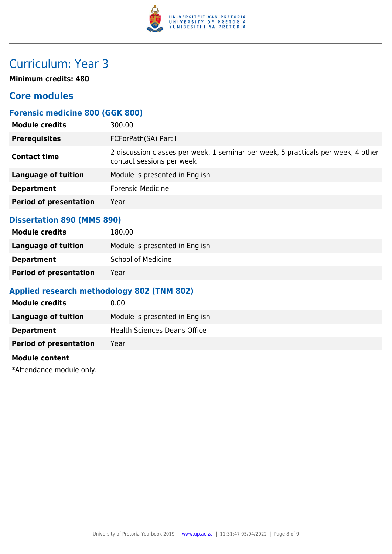

## Curriculum: Year 3

**Minimum credits: 480**

## **Core modules**

## **Forensic medicine 800 (GGK 800)**

| 300.00                                                                                                         |
|----------------------------------------------------------------------------------------------------------------|
| FCForPath(SA) Part I                                                                                           |
| 2 discussion classes per week, 1 seminar per week, 5 practicals per week, 4 other<br>contact sessions per week |
| Module is presented in English                                                                                 |
| <b>Forensic Medicine</b>                                                                                       |
| Year                                                                                                           |
|                                                                                                                |

#### **Dissertation 890 (MMS 890)**

| <b>Module credits</b>         | 180.00                         |
|-------------------------------|--------------------------------|
| Language of tuition           | Module is presented in English |
| <b>Department</b>             | <b>School of Medicine</b>      |
| <b>Period of presentation</b> | Year                           |

### **Applied research methodology 802 (TNM 802)**

| <b>Module credits</b>         | 0.00                                |
|-------------------------------|-------------------------------------|
| Language of tuition           | Module is presented in English      |
| <b>Department</b>             | <b>Health Sciences Deans Office</b> |
| <b>Period of presentation</b> | Year                                |

#### **Module content**

\*Attendance module only.